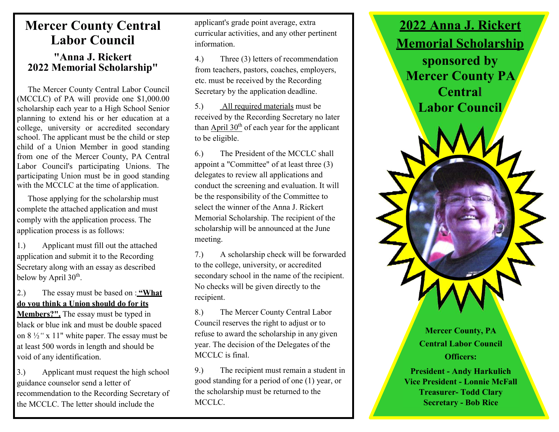## Mercer County Central Labor Council

#### "Anna J. Rickert 2022 Memorial Scholarship"

The Mercer County Central Labor Council (MCCLC) of PA will provide one \$1,000.00 scholarship each year to a High School Senior planning to extend his or her education at a college, university or accredited secondary school. The applicant must be the child or step child of a Union Member in good standing from one of the Mercer County, PA Central Labor Council's participating Unions. The participating Union must be in good standing with the MCCLC at the time of application.

Those applying for the scholarship must complete the attached application and must comply with the application process. The application process is as follows:

1.) Applicant must fill out the attached application and submit it to the Recording Secretary along with an essay as described below by April 30<sup>th</sup>.

2.) The essay must be based on : "What do you think a Union should do for its

Members?". The essay must be typed in black or blue ink and must be double spaced on 8 ½" x 11" white paper. The essay must be at least 500 words in length and should be void of any identification.

3.) Applicant must request the high school guidance counselor send a letter of recommendation to the Recording Secretary of the MCCLC. The letter should include the

applicant's grade point average, extra curricular activities, and any other pertinent information.

4.) Three (3) letters of recommendation from teachers, pastors, coaches, employers, etc. must be received by the Recording Secretary by the application deadline.

5.) All required materials must be received by the Recording Secretary no later than April  $30<sup>th</sup>$  of each year for the applicant to be eligible.

6.) The President of the MCCLC shall appoint a "Committee" of at least three (3) delegates to review all applications and conduct the screening and evaluation. It will be the responsibility of the Committee to select the winner of the Anna J. Rickert Memorial Scholarship. The recipient of the scholarship will be announced at the June meeting.

7.) A scholarship check will be forwarded to the college, university, or accredited secondary school in the name of the recipient. No checks will be given directly to the recipient.

8.) The Mercer County Central Labor Council reserves the right to adjust or to refuse to award the scholarship in any given year. The decision of the Delegates of the MCCLC is final.

9.) The recipient must remain a student in good standing for a period of one (1) year, or the scholarship must be returned to the MCCLC.



Mercer County, PA Central Labor Council Officers:

President - Andy Harkulich Vice President - Lonnie McFall Treasurer- Todd Clary Secretary - Bob Rice